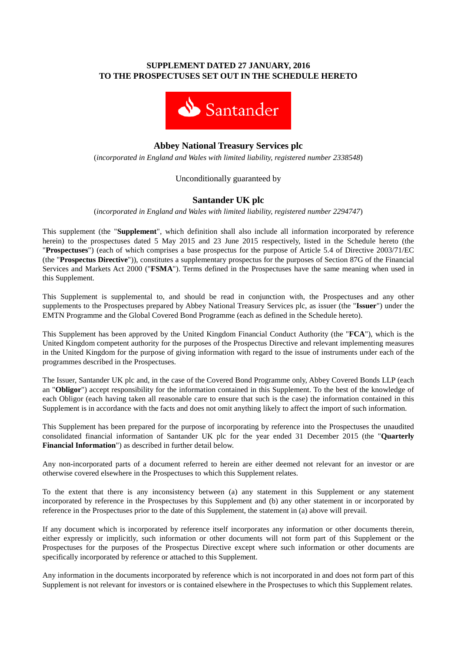## **SUPPLEMENT DATED 27 JANUARY, 2016 TO THE PROSPECTUSES SET OUT IN THE SCHEDULE HERETO**



# **Abbey National Treasury Services plc**

(*incorporated in England and Wales with limited liability, registered number 2338548*)

### Unconditionally guaranteed by

## **Santander UK plc**

(*incorporated in England and Wales with limited liability, registered number 2294747*)

This supplement (the "**Supplement**", which definition shall also include all information incorporated by reference herein) to the prospectuses dated 5 May 2015 and 23 June 2015 respectively, listed in the Schedule hereto (the "**Prospectuses**") (each of which comprises a base prospectus for the purpose of Article 5.4 of Directive 2003/71/EC (the "**Prospectus Directive**")), constitutes a supplementary prospectus for the purposes of Section 87G of the Financial Services and Markets Act 2000 ("**FSMA**"). Terms defined in the Prospectuses have the same meaning when used in this Supplement.

This Supplement is supplemental to, and should be read in conjunction with, the Prospectuses and any other supplements to the Prospectuses prepared by Abbey National Treasury Services plc, as issuer (the "**Issuer**") under the EMTN Programme and the Global Covered Bond Programme (each as defined in the Schedule hereto).

This Supplement has been approved by the United Kingdom Financial Conduct Authority (the "**FCA**"), which is the United Kingdom competent authority for the purposes of the Prospectus Directive and relevant implementing measures in the United Kingdom for the purpose of giving information with regard to the issue of instruments under each of the programmes described in the Prospectuses.

The Issuer, Santander UK plc and, in the case of the Covered Bond Programme only, Abbey Covered Bonds LLP (each an "**Obligor**") accept responsibility for the information contained in this Supplement. To the best of the knowledge of each Obligor (each having taken all reasonable care to ensure that such is the case) the information contained in this Supplement is in accordance with the facts and does not omit anything likely to affect the import of such information.

This Supplement has been prepared for the purpose of incorporating by reference into the Prospectuses the unaudited consolidated financial information of Santander UK plc for the year ended 31 December 2015 (the "**Quarterly Financial Information**") as described in further detail below.

Any non-incorporated parts of a document referred to herein are either deemed not relevant for an investor or are otherwise covered elsewhere in the Prospectuses to which this Supplement relates.

To the extent that there is any inconsistency between (a) any statement in this Supplement or any statement incorporated by reference in the Prospectuses by this Supplement and (b) any other statement in or incorporated by reference in the Prospectuses prior to the date of this Supplement, the statement in (a) above will prevail.

If any document which is incorporated by reference itself incorporates any information or other documents therein, either expressly or implicitly, such information or other documents will not form part of this Supplement or the Prospectuses for the purposes of the Prospectus Directive except where such information or other documents are specifically incorporated by reference or attached to this Supplement.

Any information in the documents incorporated by reference which is not incorporated in and does not form part of this Supplement is not relevant for investors or is contained elsewhere in the Prospectuses to which this Supplement relates.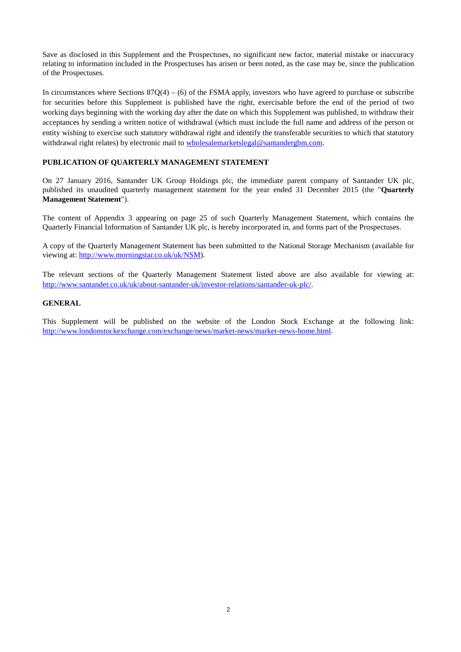Save as disclosed in this Supplement and the Prospectuses, no significant new factor, material mistake or inaccuracy relating to information included in the Prospectuses has arisen or been noted, as the case may be, since the publication of the Prospectuses.

In circumstances where Sections  $87Q(4) - (6)$  of the FSMA apply, investors who have agreed to purchase or subscribe for securities before this Supplement is published have the right, exercisable before the end of the period of two working days beginning with the working day after the date on which this Supplement was published, to withdraw their acceptances by sending a written notice of withdrawal (which must include the full name and address of the person or entity wishing to exercise such statutory withdrawal right and identify the transferable securities to which that statutory withdrawal right relates) by electronic mail to [wholesalemarketslegal@santandergbm.com.](mailto:wholesalemarketslegal@santandergbm.com)

#### **PUBLICATION OF QUARTERLY MANAGEMENT STATEMENT**

On 27 January 2016, Santander UK Group Holdings plc, the immediate parent company of Santander UK plc, published its unaudited quarterly management statement for the year ended 31 December 2015 (the "**Quarterly Management Statement**").

The content of Appendix 3 appearing on page 25 of such Quarterly Management Statement, which contains the Quarterly Financial Information of Santander UK plc, is hereby incorporated in, and forms part of the Prospectuses.

A copy of the Quarterly Management Statement has been submitted to the National Storage Mechanism (available for viewing at: [http://www.morningstar.co.uk/uk/NSM\)](http://www.morningstar.co.uk/uk/NSM).

The relevant sections of the Quarterly Management Statement listed above are also available for viewing at: [http://www.santander.co.uk/uk/about-santander-uk/investor-relations/santander-uk-plc/.](http://www.santander.co.uk/uk/about-santander-uk/investor-relations/santander-uk-plc/) 

#### **GENERAL**

This Supplement will be published on the website of the London Stock Exchange at the following link: [http://www.londonstockexchange.com/exchange/news/market-news/market-news-home.html.](http://www.londonstockexchange.com/exchange/news/market-news/market-news-home.html)